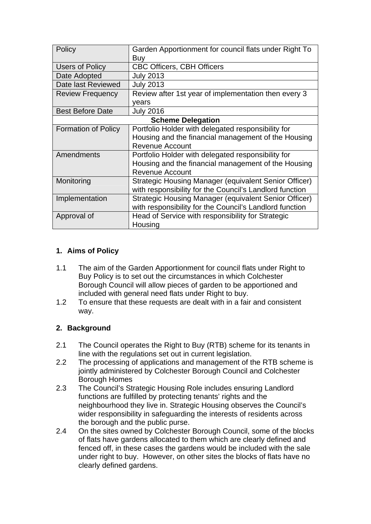| Policy                     | Garden Apportionment for council flats under Right To<br>Buy |
|----------------------------|--------------------------------------------------------------|
| Users of Policy            | <b>CBC Officers, CBH Officers</b>                            |
| Date Adopted               | <b>July 2013</b>                                             |
| Date last Reviewed         | <b>July 2013</b>                                             |
| <b>Review Frequency</b>    | Review after 1st year of implementation then every 3         |
|                            | years                                                        |
| <b>Best Before Date</b>    | <b>July 2016</b>                                             |
| <b>Scheme Delegation</b>   |                                                              |
| <b>Formation of Policy</b> | Portfolio Holder with delegated responsibility for           |
|                            | Housing and the financial management of the Housing          |
|                            | <b>Revenue Account</b>                                       |
| Amendments                 | Portfolio Holder with delegated responsibility for           |
|                            | Housing and the financial management of the Housing          |
|                            | <b>Revenue Account</b>                                       |
| Monitoring                 | Strategic Housing Manager (equivalent Senior Officer)        |
|                            | with responsibility for the Council's Landlord function      |
| Implementation             | Strategic Housing Manager (equivalent Senior Officer)        |
|                            | with responsibility for the Council's Landlord function      |
| Approval of                | Head of Service with responsibility for Strategic            |
|                            | Housing                                                      |

# **1. Aims of Policy**

- 1.1 The aim of the Garden Apportionment for council flats under Right to Buy Policy is to set out the circumstances in which Colchester Borough Council will allow pieces of garden to be apportioned and included with general need flats under Right to buy.
- 1.2 To ensure that these requests are dealt with in a fair and consistent way.

# **2. Background**

- 2.1 The Council operates the Right to Buy (RTB) scheme for its tenants in line with the regulations set out in current legislation.
- 2.2 The processing of applications and management of the RTB scheme is jointly administered by Colchester Borough Council and Colchester Borough Homes
- 2.3 The Council's Strategic Housing Role includes ensuring Landlord functions are fulfilled by protecting tenants' rights and the neighbourhood they live in. Strategic Housing observes the Council's wider responsibility in safeguarding the interests of residents across the borough and the public purse.
- 2.4 On the sites owned by Colchester Borough Council, some of the blocks of flats have gardens allocated to them which are clearly defined and fenced off, in these cases the gardens would be included with the sale under right to buy. However, on other sites the blocks of flats have no clearly defined gardens.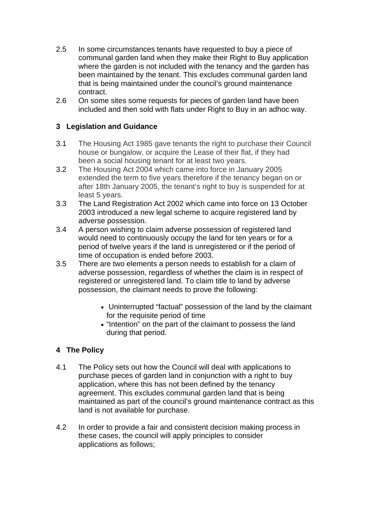- 2.5 In some circumstances tenants have requested to buy a piece of communal garden land when they make their Right to Buy application where the garden is not included with the tenancy and the garden has been maintained by the tenant. This excludes communal garden land that is being maintained under the council's ground maintenance contract.
- 2.6 On some sites some requests for pieces of garden land have been included and then sold with flats under Right to Buy in an adhoc way.

# **3 Legislation and Guidance**

- 3.1 The Housing Act 1985 gave tenants the right to purchase their Council house or bungalow, or acquire the Lease of their flat, if they had been a social housing tenant for at least two years.
- 3.2 The Housing Act 2004 which came into force in January 2005 extended the term to five years therefore if the tenancy began on or after 18th January 2005, the tenant's right to buy is suspended for at least 5 years.
- 3.3 The Land Registration Act 2002 which came into force on 13 October 2003 introduced a new legal scheme to acquire registered land by adverse possession.
- 3.4 A person wishing to claim adverse possession of registered land would need to continuously occupy the land for ten years or for a period of twelve years if the land is unregistered or if the period of time of occupation is ended before 2003.
- 3.5 There are two elements a person needs to establish for a claim of adverse possession, regardless of whether the claim is in respect of registered or unregistered land. To claim title to land by adverse possession, the claimant needs to prove the following:
	- Uninterrupted "factual" possession of the land by the claimant for the requisite period of time
	- "Intention" on the part of the claimant to possess the land during that period.

## **4 The Policy**

- 4.1 The Policy sets out how the Council will deal with applications to purchase pieces of garden land in conjunction with a right to buy application, where this has not been defined by the tenancy agreement. This excludes communal garden land that is being maintained as part of the council's ground maintenance contract as this land is not available for purchase.
- 4.2 In order to provide a fair and consistent decision making process in these cases, the council will apply principles to consider applications as follows;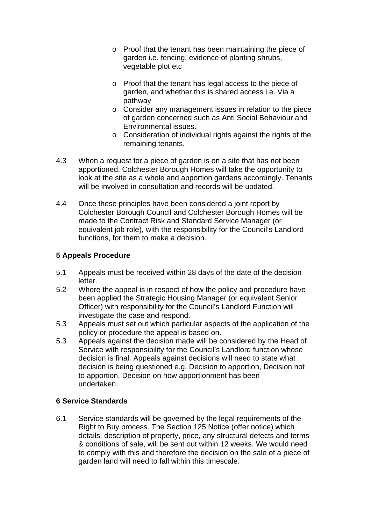- o Proof that the tenant has been maintaining the piece of garden i.e. fencing, evidence of planting shrubs, vegetable plot etc
- o Proof that the tenant has legal access to the piece of garden, and whether this is shared access i.e. Via a pathway
- o Consider any management issues in relation to the piece of garden concerned such as Anti Social Behaviour and Environmental issues.
- o Consideration of individual rights against the rights of the remaining tenants.
- 4.3 When a request for a piece of garden is on a site that has not been apportioned, Colchester Borough Homes will take the opportunity to look at the site as a whole and apportion gardens accordingly. Tenants will be involved in consultation and records will be updated.
- 4.4 Once these principles have been considered a joint report by Colchester Borough Council and Colchester Borough Homes will be made to the Contract Risk and Standard Service Manager (or equivalent job role), with the responsibility for the Council's Landlord functions, for them to make a decision.

### **5 Appeals Procedure**

- 5.1 Appeals must be received within 28 days of the date of the decision letter.
- 5.2 Where the appeal is in respect of how the policy and procedure have been applied the Strategic Housing Manager (or equivalent Senior Officer) with responsibility for the Council's Landlord Function will investigate the case and respond.
- 5.3 Appeals must set out which particular aspects of the application of the policy or procedure the appeal is based on.
- 5.3 Appeals against the decision made will be considered by the Head of Service with responsibility for the Council's Landlord function whose decision is final. Appeals against decisions will need to state what decision is being questioned e.g. Decision to apportion, Decision not to apportion, Decision on how apportionment has been undertaken.

#### **6 Service Standards**

6.1 Service standards will be governed by the legal requirements of the Right to Buy process. The Section 125 Notice (offer notice) which details, description of property, price, any structural defects and terms & conditions of sale, will be sent out within 12 weeks. We would need to comply with this and therefore the decision on the sale of a piece of garden land will need to fall within this timescale.